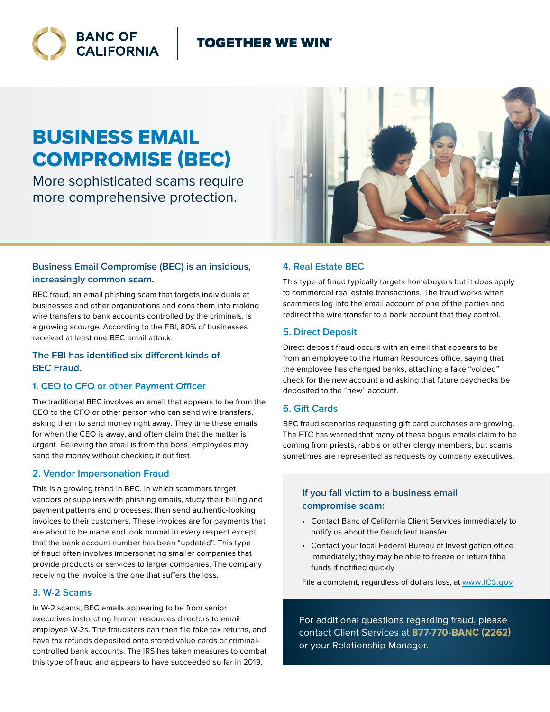### **TOGETHER WE WIN®**



# BUSINESS EMAIL COMPROMISE (BEC)

More sophisticated scams require more comprehensive protection.

#### **Business Email Compromise (BEC) is an insidious, increasingly common scam.**

BEC fraud, an email phishing scam that targets individuals at businesses and other organizations and cons them into making wire transfers to bank accounts controlled by the criminals, is a growing scourge. According to the FBI, 80% of businesses received at least one BEC email attack.

#### **The FBI has identified six different kinds of BEC Fraud.**

#### **1. CEO to CFO or other Payment Officer**

The traditional BEC involves an email that appears to be from the CEO to the CFO or other person who can send wire transfers, asking them to send money right away. They time these emails for when the CEO is away, and often claim that the matter is urgent. Believing the email is from the boss, employees may send the money without checking it out first.

#### **2. Vendor Impersonation Fraud**

This is a growing trend in BEC, in which scammers target vendors or suppliers with phishing emails, study their billing and payment patterns and processes, then send authentic-looking invoices to their customers. These invoices are for payments that are about to be made and look normal in every respect except that the bank account number has been "updated". This type of fraud often involves impersonating smaller companies that provide products or services to larger companies. The company receiving the invoice is the one that suffers the loss.

#### **3. W-2 Scams**

In W-2 scams, BEC emails appearing to be from senior executives instructing human resources directors to email employee W-2s. The fraudsters can then file fake tax returns, and have tax refunds deposited onto stored value cards or criminalcontrolled bank accounts. The IRS has taken measures to combat this type of fraud and appears to have succeeded so far in 2019.



#### **4. Real Estate BEC**

This type of fraud typically targets homebuyers but it does apply to commercial real estate transactions. The fraud works when scammers log into the email account of one of the parties and redirect the wire transfer to a bank account that they control.

#### **5. Direct Deposit**

Direct deposit fraud occurs with an email that appears to be from an employee to the Human Resources office, saying that the employee has changed banks, attaching a fake "voided" check for the new account and asking that future paychecks be deposited to the "new" account.

#### **6. Gift Cards**

BEC fraud scenarios requesting gift card purchases are growing. The FTC has warned that many of these bogus emails claim to be coming from priests, rabbis or other clergy members, but scams sometimes are represented as requests by company executives.

#### **If you fall victim to a business email compromise scam:**

- Contact Banc of California Client Services immediately to notify us about the fraudulent transfer
- Contact your local Federal Bureau of Investigation office immediately; they may be able to freeze or return thhe funds if notified quickly

File a complaint, regardless of dollars loss, at [www.IC3.gov](https://www.IC3.gov)

For additional questions regarding fraud, please contact Client Services at **877-770-BANC (2262)** or your Relationship Manager.